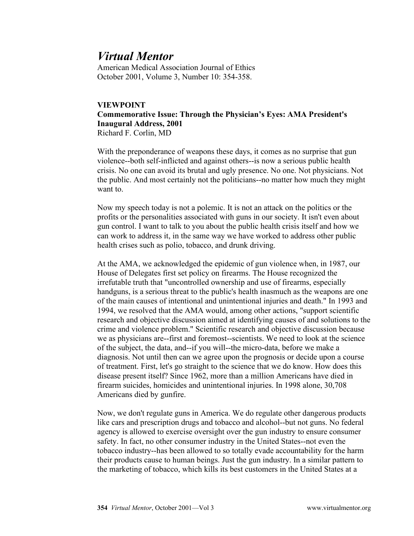## *Virtual Mentor*

American Medical Association Journal of Ethics October 2001, Volume 3, Number 10: 354-358.

## **VIEWPOINT Commemorative Issue: Through the Physician's Eyes: AMA President's Inaugural Address, 2001** Richard F. Corlin, MD

With the preponderance of weapons these days, it comes as no surprise that gun violence--both self-inflicted and against others--is now a serious public health crisis. No one can avoid its brutal and ugly presence. No one. Not physicians. Not the public. And most certainly not the politicians--no matter how much they might want to.

Now my speech today is not a polemic. It is not an attack on the politics or the profits or the personalities associated with guns in our society. It isn't even about gun control. I want to talk to you about the public health crisis itself and how we can work to address it, in the same way we have worked to address other public health crises such as polio, tobacco, and drunk driving.

At the AMA, we acknowledged the epidemic of gun violence when, in 1987, our House of Delegates first set policy on firearms. The House recognized the irrefutable truth that "uncontrolled ownership and use of firearms, especially handguns, is a serious threat to the public's health inasmuch as the weapons are one of the main causes of intentional and unintentional injuries and death." In 1993 and 1994, we resolved that the AMA would, among other actions, "support scientific research and objective discussion aimed at identifying causes of and solutions to the crime and violence problem." Scientific research and objective discussion because we as physicians are--first and foremost--scientists. We need to look at the science of the subject, the data, and--if you will--the micro-data, before we make a diagnosis. Not until then can we agree upon the prognosis or decide upon a course of treatment. First, let's go straight to the science that we do know. How does this disease present itself? Since 1962, more than a million Americans have died in firearm suicides, homicides and unintentional injuries. In 1998 alone, 30,708 Americans died by gunfire.

Now, we don't regulate guns in America. We do regulate other dangerous products like cars and prescription drugs and tobacco and alcohol--but not guns. No federal agency is allowed to exercise oversight over the gun industry to ensure consumer safety. In fact, no other consumer industry in the United States--not even the tobacco industry--has been allowed to so totally evade accountability for the harm their products cause to human beings. Just the gun industry. In a similar pattern to the marketing of tobacco, which kills its best customers in the United States at a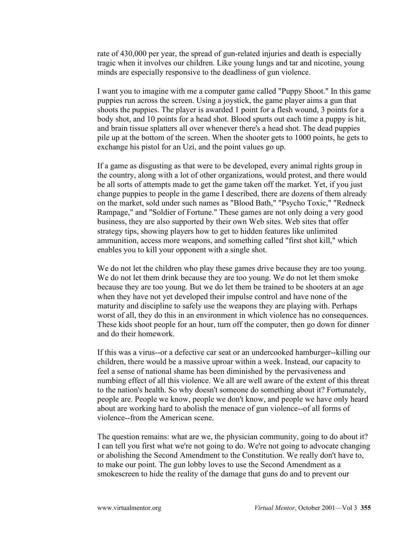rate of 430,000 per year, the spread of gun-related injuries and death is especially tragic when it involves our children. Like young lungs and tar and nicotine, young minds are especially responsive to the deadliness of gun violence.

I want you to imagine with me a computer game called "Puppy Shoot." In this game puppies run across the screen. Using a joystick, the game player aims a gun that shoots the puppies. The player is awarded 1 point for a flesh wound, 3 points for a body shot, and 10 points for a head shot. Blood spurts out each time a puppy is hit, and brain tissue splatters all over whenever there's a head shot. The dead puppies pile up at the bottom of the screen. When the shooter gets to 1000 points, he gets to exchange his pistol for an Uzi, and the point values go up.

If a game as disgusting as that were to be developed, every animal rights group in the country, along with a lot of other organizations, would protest, and there would be all sorts of attempts made to get the game taken off the market. Yet, if you just change puppies to people in the game I described, there are dozens of them already on the market, sold under such names as "Blood Bath," "Psycho Toxic," "Redneck Rampage," and "Soldier of Fortune." These games are not only doing a very good business, they are also supported by their own Web sites. Web sites that offer strategy tips, showing players how to get to hidden features like unlimited ammunition, access more weapons, and something called "first shot kill," which enables you to kill your opponent with a single shot.

We do not let the children who play these games drive because they are too young. We do not let them drink because they are too young. We do not let them smoke because they are too young. But we do let them be trained to be shooters at an age when they have not yet developed their impulse control and have none of the maturity and discipline to safely use the weapons they are playing with. Perhaps worst of all, they do this in an environment in which violence has no consequences. These kids shoot people for an hour, turn off the computer, then go down for dinner and do their homework.

If this was a virus--or a defective car seat or an undercooked hamburger--killing our children, there would be a massive uproar within a week. Instead, our capacity to feel a sense of national shame has been diminished by the pervasiveness and numbing effect of all this violence. We all are well aware of the extent of this threat to the nation's health. So why doesn't someone do something about it? Fortunately, people are. People we know, people we don't know, and people we have only heard about are working hard to abolish the menace of gun violence--of all forms of violence--from the American scene.

The question remains: what are we, the physician community, going to do about it? I can tell you first what we're not going to do. We're not going to advocate changing or abolishing the Second Amendment to the Constitution. We really don't have to, to make our point. The gun lobby loves to use the Second Amendment as a smokescreen to hide the reality of the damage that guns do and to prevent our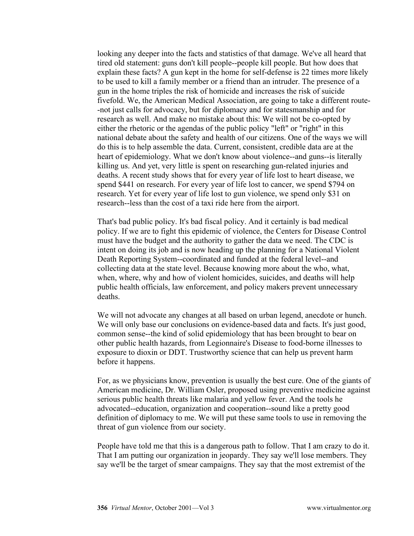looking any deeper into the facts and statistics of that damage. We've all heard that tired old statement: guns don't kill people--people kill people. But how does that explain these facts? A gun kept in the home for self-defense is 22 times more likely to be used to kill a family member or a friend than an intruder. The presence of a gun in the home triples the risk of homicide and increases the risk of suicide fivefold. We, the American Medical Association, are going to take a different route- -not just calls for advocacy, but for diplomacy and for statesmanship and for research as well. And make no mistake about this: We will not be co-opted by either the rhetoric or the agendas of the public policy "left" or "right" in this national debate about the safety and health of our citizens. One of the ways we will do this is to help assemble the data. Current, consistent, credible data are at the heart of epidemiology. What we don't know about violence--and guns--is literally killing us. And yet, very little is spent on researching gun-related injuries and deaths. A recent study shows that for every year of life lost to heart disease, we spend \$441 on research. For every year of life lost to cancer, we spend \$794 on research. Yet for every year of life lost to gun violence, we spend only \$31 on research--less than the cost of a taxi ride here from the airport.

That's bad public policy. It's bad fiscal policy. And it certainly is bad medical policy. If we are to fight this epidemic of violence, the Centers for Disease Control must have the budget and the authority to gather the data we need. The CDC is intent on doing its job and is now heading up the planning for a National Violent Death Reporting System--coordinated and funded at the federal level--and collecting data at the state level. Because knowing more about the who, what, when, where, why and how of violent homicides, suicides, and deaths will help public health officials, law enforcement, and policy makers prevent unnecessary deaths.

We will not advocate any changes at all based on urban legend, anecdote or hunch. We will only base our conclusions on evidence-based data and facts. It's just good, common sense--the kind of solid epidemiology that has been brought to bear on other public health hazards, from Legionnaire's Disease to food-borne illnesses to exposure to dioxin or DDT. Trustworthy science that can help us prevent harm before it happens.

For, as we physicians know, prevention is usually the best cure. One of the giants of American medicine, Dr. William Osler, proposed using preventive medicine against serious public health threats like malaria and yellow fever. And the tools he advocated--education, organization and cooperation--sound like a pretty good definition of diplomacy to me. We will put these same tools to use in removing the threat of gun violence from our society.

People have told me that this is a dangerous path to follow. That I am crazy to do it. That I am putting our organization in jeopardy. They say we'll lose members. They say we'll be the target of smear campaigns. They say that the most extremist of the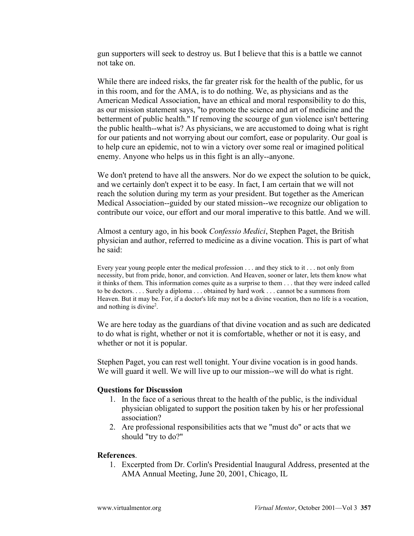gun supporters will seek to destroy us. But I believe that this is a battle we cannot not take on.

While there are indeed risks, the far greater risk for the health of the public, for us in this room, and for the AMA, is to do nothing. We, as physicians and as the American Medical Association, have an ethical and moral responsibility to do this, as our mission statement says, "to promote the science and art of medicine and the betterment of public health." If removing the scourge of gun violence isn't bettering the public health--what is? As physicians, we are accustomed to doing what is right for our patients and not worrying about our comfort, ease or popularity. Our goal is to help cure an epidemic, not to win a victory over some real or imagined political enemy. Anyone who helps us in this fight is an ally--anyone.

We don't pretend to have all the answers. Nor do we expect the solution to be quick, and we certainly don't expect it to be easy. In fact, I am certain that we will not reach the solution during my term as your president. But together as the American Medical Association--guided by our stated mission--we recognize our obligation to contribute our voice, our effort and our moral imperative to this battle. And we will.

Almost a century ago, in his book *Confessio Medici*, Stephen Paget, the British physician and author, referred to medicine as a divine vocation. This is part of what he said:

Every year young people enter the medical profession . . . and they stick to it . . . not only from necessity, but from pride, honor, and conviction. And Heaven, sooner or later, lets them know what it thinks of them. This information comes quite as a surprise to them . . . that they were indeed called to be doctors. . . . Surely a diploma . . . obtained by hard work . . . cannot be a summons from Heaven. But it may be. For, if a doctor's life may not be a divine vocation, then no life is a vocation, and nothing is divine<sup>2</sup>.

We are here today as the guardians of that divine vocation and as such are dedicated to do what is right, whether or not it is comfortable, whether or not it is easy, and whether or not it is popular.

Stephen Paget, you can rest well tonight. Your divine vocation is in good hands. We will guard it well. We will live up to our mission--we will do what is right.

## **Questions for Discussion**

- 1. In the face of a serious threat to the health of the public, is the individual physician obligated to support the position taken by his or her professional association?
- 2. Are professional responsibilities acts that we "must do" or acts that we should "try to do?"

## **References**.

1. Excerpted from Dr. Corlin's Presidential Inaugural Address, presented at the AMA Annual Meeting, June 20, 2001, Chicago, IL